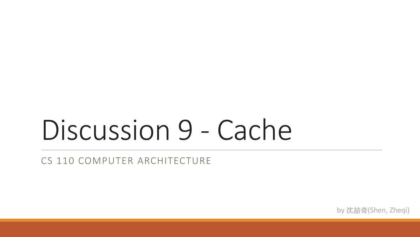# Discussion 9 - Cache

CS 110 COMPUTER ARCHITECTURE

by 沈喆奇(Shen, Zheqi)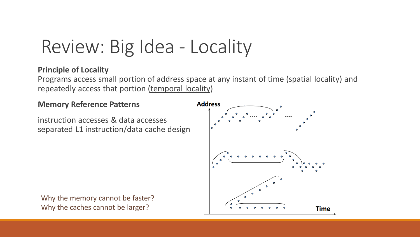## Review: Big Idea - Locality

#### **Principle of Locality**

Programs access small portion of address space at any instant of time (spatial locality) and repeatedly access that portion (temporal locality)

#### **Memory Reference Patterns**

instruction accesses & data accesses separated L1 instruction/data cache design

Why the memory cannot be faster? Why the caches cannot be larger?

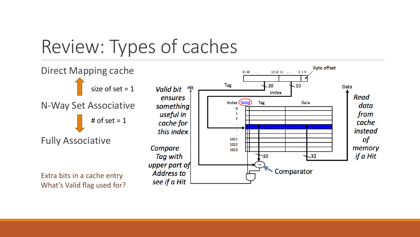### Review: Types of caches

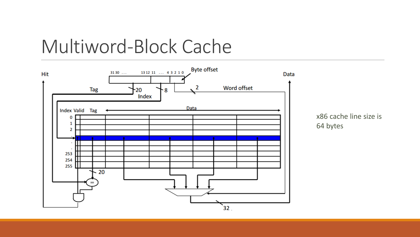### Multiword-Block Cache

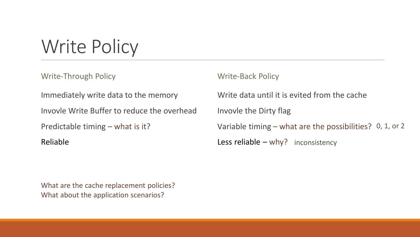Write Policy

Write-Through Policy

Immediately write data to the memory

Invovle Write Buffer to reduce the overhead

Predictable timing – what is it?

Reliable

Write-Back Policy

Write data until it is evited from the cache Invovle the Dirty flag

Variable timing – what are the possibilities? 0, 1, or 2

Less reliable - why? inconsistency

What are the cache replacement policies? What about the application scenarios?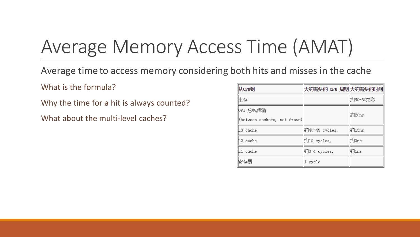# Average Memory Access Time (AMAT)

Average time to access memory considering both hits and misses in the cache

What is the formula?

Why the time for a hit is always counted?

What about the multi-level caches?

| 从CPU到                                    | 大约需要的 CPU 周期 大约需要的时间    |          |
|------------------------------------------|-------------------------|----------|
| 住存                                       |                         | 趵60-80纳秒 |
| խPI 总线传输<br>(between sockets, not drawn) |                         | 趵20ns    |
| L3 cache                                 | 的40-45 cycles,          | 趵15ns    |
| L2 cache                                 | <sup>[约10</sup> cycles, | 的3ns     |
| L1 cache                                 | 约3-4 cycles,            | 釣1ns     |
| 寄存器                                      | cycle                   |          |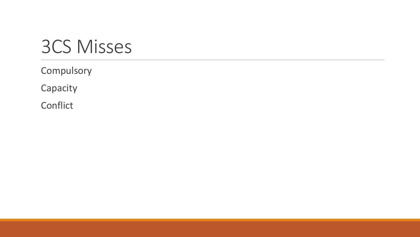### 3CS Misses

Compulsory

Capacity

Conflict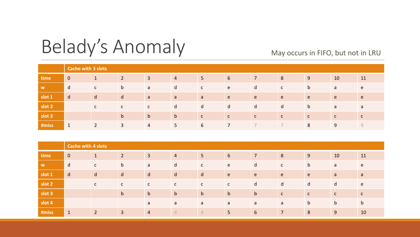### Belady's Anomaly

#### May occurs in FIFO, but not in LRU

|        | <b>Cache with 3 slots</b> |              |                |                |                |              |              |                |              |              |              |              |
|--------|---------------------------|--------------|----------------|----------------|----------------|--------------|--------------|----------------|--------------|--------------|--------------|--------------|
| time   | $\overline{0}$            |              | 2              | $\overline{3}$ | $\overline{4}$ | 5            | 6            | $\overline{7}$ | 8            | 9            | 10           | 11           |
| W      | d                         | $\mathsf{C}$ | $\mathsf{b}$   | a              | d              | $\mathsf{C}$ | e            | d              | $\mathsf{C}$ | $\mathsf{b}$ | a            | e e          |
| slot 1 | $\mathsf{d}$              | d            | d              | a              | a              | a            | e.           | e e            | e.           | e.           | e.           | e.           |
| slot 2 |                           | $\mathsf{C}$ | $\mathsf{C}$   | $\mathsf{C}$   | d              | d            | d            | d              | d            | $\mathsf b$  | a            | a a          |
| slot 3 |                           |              | $\mathsf{b}$   | $\mathsf{b}$   | $\mathsf{b}$   | $\mathsf{C}$ | $\mathsf{C}$ | $\mathsf{C}$   | $\mathsf{C}$ | $\mathsf{C}$ | $\mathsf{C}$ | $\mathsf{C}$ |
| #miss  | $\mathbf 1$               | 2            | $\overline{3}$ | 4              | 5              | 6            |              |                |              | 8            | 9            | Q            |

|        | <b>Cache with 4 slots</b> |                |                |                |                |                |             |                |                |              |              |                |
|--------|---------------------------|----------------|----------------|----------------|----------------|----------------|-------------|----------------|----------------|--------------|--------------|----------------|
| time   | $\overline{0}$            | $\mathbf 1$    | $\overline{2}$ | $\overline{3}$ | $\overline{4}$ | 5              | 6           | $\overline{7}$ | 8              | 9            | 10           | 11             |
| W      | d                         | $\mathsf{C}$   | $\mathsf b$    | a              | $\mathsf{d}$   | $\mathsf{C}$   | e           | $\mathsf{d}$   | $\mathsf{C}$   | $\mathsf{b}$ | a            | e e            |
| slot 1 | $\mathsf{d}$              | d              | d              | $\mathsf{d}$   | $\mathsf{d}$   | $\mathsf{d}$   | e           | e e            | e              | e            | a            | $\overline{a}$ |
| slot 2 |                           | $\mathsf{C}$   | $\mathsf{C}$   | $\mathsf{C}$   | $\mathsf{C}$   | $\mathsf{C}$   | C           | $\mathsf{d}$   | $\mathsf{d}$   | d            | d            | e              |
| slot 3 |                           |                | $\mathsf{b}$   | b              | $\mathbf b$    | $\mathbf b$    | $\mathbf b$ | $\mathbf b$    | $\mathsf{C}$   | $\mathsf{C}$ | $\mathsf{C}$ | $\mathsf{C}$   |
| slot 4 |                           |                |                | a              | a              | a              | a           | a              | a              | $\mathsf{b}$ | $\mathsf{b}$ | $\mathbf b$    |
| #miss  | $\mathbf{1}$              | $\overline{2}$ | $\overline{3}$ | $\overline{4}$ | $\overline{4}$ | $\overline{4}$ | 5           | 6              | $\overline{7}$ | 8            | 9            | 10             |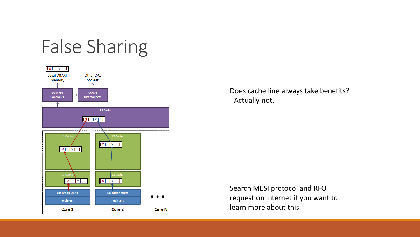## False Sharing



Does cache line always take benefits? - Actually not.

Search MESI protocol and RFO request on internet if you want to learn more about this.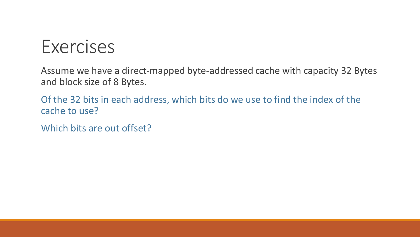#### **Exercises**

Assume we have a direct-mapped byte-addressed cache with capacity 32 Bytes and block size of 8 Bytes.

Of the 32 bits in each address, which bits do we use to find the index of the cache to use?

Which bits are out offset?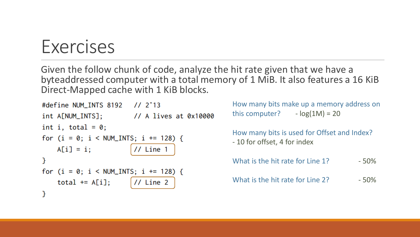#### Exercises

Given the follow chunk of code, analyze the hit rate given that we have a byteaddressed computer with a total memory of 1 MiB. It also features a 16 KiB Direct-Mapped cache with 1 KiB blocks.

```
#define NUM_INTS 8192 // 2^13
int A[NUM_INTS]; \frac{1}{2} // A lives at 0x10000
int i, total = 0;
for (i = 0; i < NUM_INTS; i += 128) {
    A[i] = i;
                         1/ Line 1
\mathcal{F}for (i = 0; i < NUM_INTS; i += 128) {
    total += A[i];11 Line 2
}
```
How many bits make up a memory address on this computer?  $-log(1M) = 20$ How many bits is used for Offset and Index? - 10 for offset, 4 for index What is the hit rate for Line  $1$ ?  $-50\%$ What is the hit rate for Line 2? - 50%